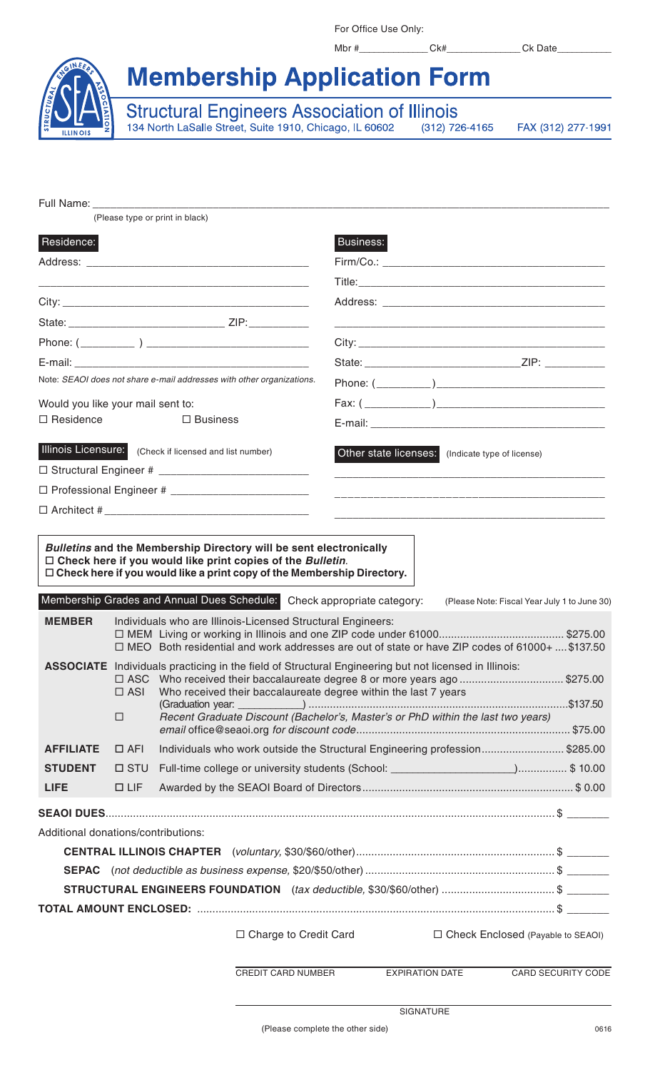For Office Use Only:

Mbr #\_\_\_\_\_\_\_\_\_\_\_\_\_\_\_\_Ck#\_\_\_\_\_\_\_\_\_\_\_\_\_\_\_Ck Date\_

**Membership Application Form** 

Structural Engineers Association of Illinois<br>134 North LaSalle Street, Suite 1910, Chicago, IL 60602 (312) 72  $(312)$  726-4165

FAX (312) 277-1991

|                                     |                             | (Please type or print in black)                                                                                                                                                                                                                  |                        |                                                                                                                                                     |                    |
|-------------------------------------|-----------------------------|--------------------------------------------------------------------------------------------------------------------------------------------------------------------------------------------------------------------------------------------------|------------------------|-----------------------------------------------------------------------------------------------------------------------------------------------------|--------------------|
|                                     |                             |                                                                                                                                                                                                                                                  |                        |                                                                                                                                                     |                    |
| Residence:                          |                             |                                                                                                                                                                                                                                                  | <b>Business:</b>       |                                                                                                                                                     |                    |
|                                     |                             |                                                                                                                                                                                                                                                  |                        |                                                                                                                                                     |                    |
|                                     |                             |                                                                                                                                                                                                                                                  |                        |                                                                                                                                                     |                    |
|                                     |                             |                                                                                                                                                                                                                                                  |                        |                                                                                                                                                     |                    |
|                                     |                             |                                                                                                                                                                                                                                                  |                        |                                                                                                                                                     |                    |
|                                     |                             |                                                                                                                                                                                                                                                  |                        |                                                                                                                                                     |                    |
|                                     |                             |                                                                                                                                                                                                                                                  |                        |                                                                                                                                                     |                    |
|                                     |                             | Note: SEAOI does not share e-mail addresses with other organizations.                                                                                                                                                                            |                        |                                                                                                                                                     |                    |
| Would you like your mail sent to:   |                             |                                                                                                                                                                                                                                                  |                        |                                                                                                                                                     |                    |
| $\Box$ Residence                    |                             | $\Box$ Business                                                                                                                                                                                                                                  |                        |                                                                                                                                                     |                    |
|                                     |                             | Illinois Licensure: (Check if licensed and list number)                                                                                                                                                                                          | Other state licenses:  | (Indicate type of license)<br><u> 2000 - Jan James James James James James James James James James James James James James James James James Ja</u> |                    |
|                                     |                             |                                                                                                                                                                                                                                                  |                        |                                                                                                                                                     |                    |
|                                     |                             |                                                                                                                                                                                                                                                  |                        |                                                                                                                                                     |                    |
|                                     |                             |                                                                                                                                                                                                                                                  |                        |                                                                                                                                                     |                    |
| <b>MEMBER</b>                       |                             | $\Box$ Check here if you would like a print copy of the Membership Directory.<br>Membership Grades and Annual Dues Schedule: Check appropriate category:<br>Individuals who are Illinois-Licensed Structural Engineers:                          |                        | (Please Note: Fiscal Year July 1 to June 30)                                                                                                        |                    |
|                                     |                             | □ MEO Both residential and work addresses are out of state or have ZIP codes of 61000+  \$137.50                                                                                                                                                 |                        |                                                                                                                                                     |                    |
|                                     | $\square$ ASC<br>$\Box$ ASI | ASSOCIATE Individuals practicing in the field of Structural Engineering but not licensed in Illinois:<br>Who received their baccalaureate degree 8 or more years ago \$275.00<br>Who received their baccalaureate degree within the last 7 years |                        |                                                                                                                                                     |                    |
|                                     | П                           | Recent Graduate Discount (Bachelor's, Master's or PhD within the last two years)                                                                                                                                                                 |                        |                                                                                                                                                     |                    |
| <b>AFFILIATE</b>                    | $\Box$ AFI                  | Individuals who work outside the Structural Engineering profession\$285.00                                                                                                                                                                       |                        |                                                                                                                                                     |                    |
| <b>STUDENT</b>                      | $\square$ STU               |                                                                                                                                                                                                                                                  |                        |                                                                                                                                                     |                    |
| <b>LIFE</b>                         | $\Box$ LIF                  |                                                                                                                                                                                                                                                  |                        |                                                                                                                                                     |                    |
|                                     |                             |                                                                                                                                                                                                                                                  |                        |                                                                                                                                                     |                    |
| Additional donations/contributions: |                             |                                                                                                                                                                                                                                                  |                        |                                                                                                                                                     |                    |
|                                     |                             |                                                                                                                                                                                                                                                  |                        |                                                                                                                                                     |                    |
|                                     |                             |                                                                                                                                                                                                                                                  |                        |                                                                                                                                                     |                    |
|                                     |                             |                                                                                                                                                                                                                                                  |                        |                                                                                                                                                     |                    |
|                                     |                             |                                                                                                                                                                                                                                                  |                        |                                                                                                                                                     |                    |
|                                     |                             | □ Charge to Credit Card                                                                                                                                                                                                                          |                        | □ Check Enclosed (Payable to SEAOI)                                                                                                                 |                    |
|                                     |                             | CREDIT CARD NUMBER                                                                                                                                                                                                                               | <b>EXPIRATION DATE</b> |                                                                                                                                                     | CARD SECURITY CODE |